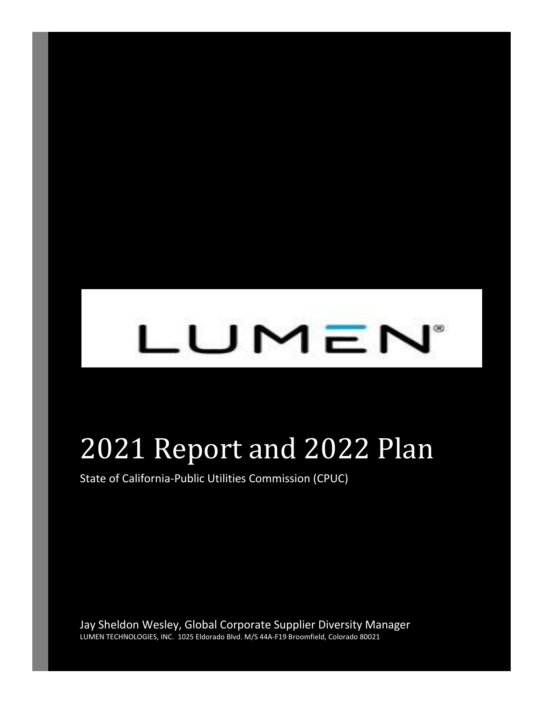# LUMEN®

## 2021 Report and 2022 Plan

State of California-Public Utilities Commission (CPUC)

Jay Sheldon Wesley, Global Corporate Supplier Diversity Manager LUMEN TECHNOLOGIES, INC. 1025 Eldorado Blvd. M/S 44A-F19 Broomfield, Colorado 80021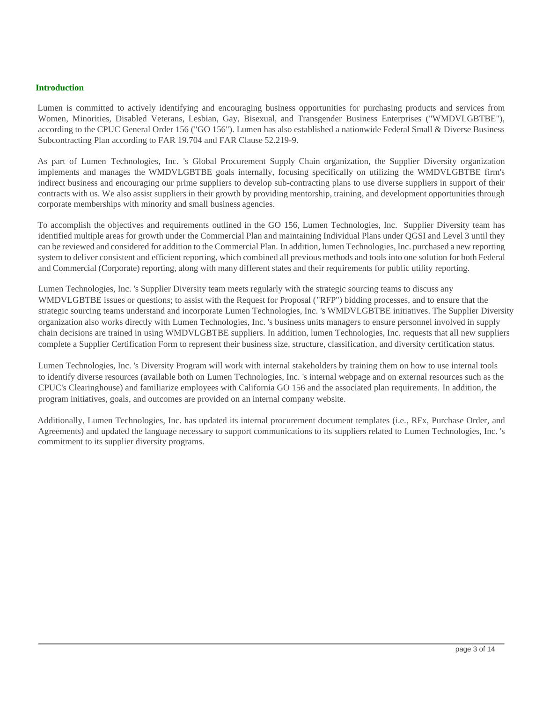#### **Introduction**

Lumen is committed to actively identifying and encouraging business opportunities for purchasing products and services from Women, Minorities, Disabled Veterans, Lesbian, Gay, Bisexual, and Transgender Business Enterprises ("WMDVLGBTBE"), according to the CPUC General Order 156 ("GO 156"). Lumen has also established a nationwide Federal Small & Diverse Business Subcontracting Plan according to FAR 19.704 and FAR Clause 52.219-9.

As part of Lumen Technologies, Inc. 's Global Procurement Supply Chain organization, the Supplier Diversity organization implements and manages the WMDVLGBTBE goals internally, focusing specifically on utilizing the WMDVLGBTBE firm's indirect business and encouraging our prime suppliers to develop sub-contracting plans to use diverse suppliers in support of their contracts with us. We also assist suppliers in their growth by providing mentorship, training, and development opportunities through corporate memberships with minority and small business agencies.

To accomplish the objectives and requirements outlined in the GO 156, Lumen Technologies, Inc. Supplier Diversity team has identified multiple areas for growth under the Commercial Plan and maintaining Individual Plans under QGSI and Level 3 until they can be reviewed and considered for addition to the Commercial Plan. In addition, lumen Technologies, Inc. purchased a new reporting system to deliver consistent and efficient reporting, which combined all previous methods and tools into one solution for both Federal and Commercial (Corporate) reporting, along with many different states and their requirements for public utility reporting.

Lumen Technologies, Inc. 's Supplier Diversity team meets regularly with the strategic sourcing teams to discuss any WMDVLGBTBE issues or questions; to assist with the Request for Proposal ("RFP") bidding processes, and to ensure that the strategic sourcing teams understand and incorporate Lumen Technologies, Inc. 's WMDVLGBTBE initiatives. The Supplier Diversity organization also works directly with Lumen Technologies, Inc. 's business units managers to ensure personnel involved in supply chain decisions are trained in using WMDVLGBTBE suppliers. In addition, lumen Technologies, Inc. requests that all new suppliers complete a Supplier Certification Form to represent their business size, structure, classification, and diversity certification status.

Lumen Technologies, Inc. 's Diversity Program will work with internal stakeholders by training them on how to use internal tools to identify diverse resources (available both on Lumen Technologies, Inc. 's internal webpage and on external resources such as the CPUC's Clearinghouse) and familiarize employees with California GO 156 and the associated plan requirements. In addition, the program initiatives, goals, and outcomes are provided on an internal company website.

Additionally, Lumen Technologies, Inc. has updated its internal procurement document templates (i.e., RFx, Purchase Order, and Agreements) and updated the language necessary to support communications to its suppliers related to Lumen Technologies, Inc. 's commitment to its supplier diversity programs.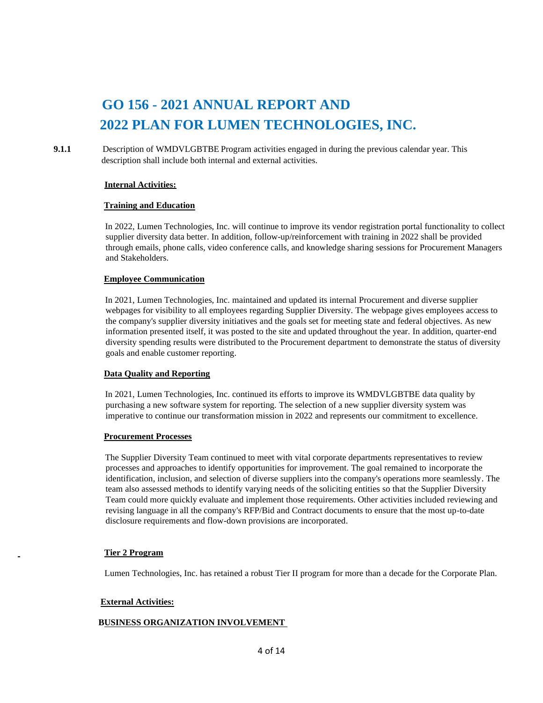## **GO 156 - 2021 ANNUAL REPORT AND 2022 PLAN FOR LUMEN TECHNOLOGIES, INC.**

**9.1.1** Description of WMDVLGBTBE Program activities engaged in during the previous calendar year. This description shall include both internal and external activities.

#### **Internal Activities:**

#### **Training and Education**

In 2022, Lumen Technologies, Inc. will continue to improve its vendor registration portal functionality to collect supplier diversity data better. In addition, follow-up/reinforcement with training in 2022 shall be provided through emails, phone calls, video conference calls, and knowledge sharing sessions for Procurement Managers and Stakeholders.

#### **Employee Communication**

In 2021, Lumen Technologies, Inc. maintained and updated its internal Procurement and diverse supplier webpages for visibility to all employees regarding Supplier Diversity. The webpage gives employees access to the company's supplier diversity initiatives and the goals set for meeting state and federal objectives. As new information presented itself, it was posted to the site and updated throughout the year. In addition, quarter-end diversity spending results were distributed to the Procurement department to demonstrate the status of diversity goals and enable customer reporting.

#### **Data Quality and Reporting**

In 2021, Lumen Technologies, Inc. continued its efforts to improve its WMDVLGBTBE data quality by purchasing a new software system for reporting. The selection of a new supplier diversity system was imperative to continue our transformation mission in 2022 and represents our commitment to excellence.

#### **Procurement Processes**

The Supplier Diversity Team continued to meet with vital corporate departments representatives to review processes and approaches to identify opportunities for improvement. The goal remained to incorporate the identification, inclusion, and selection of diverse suppliers into the company's operations more seamlessly. The team also assessed methods to identify varying needs of the soliciting entities so that the Supplier Diversity Team could more quickly evaluate and implement those requirements. Other activities included reviewing and revising language in all the company's RFP/Bid and Contract documents to ensure that the most up-to-date disclosure requirements and flow-down provisions are incorporated.

#### **Tier 2 Program**

Lumen Technologies, Inc. has retained a robust Tier II program for more than a decade for the Corporate Plan.

#### **External Activities:**

#### **BUSINESS ORGANIZATION INVOLVEMENT**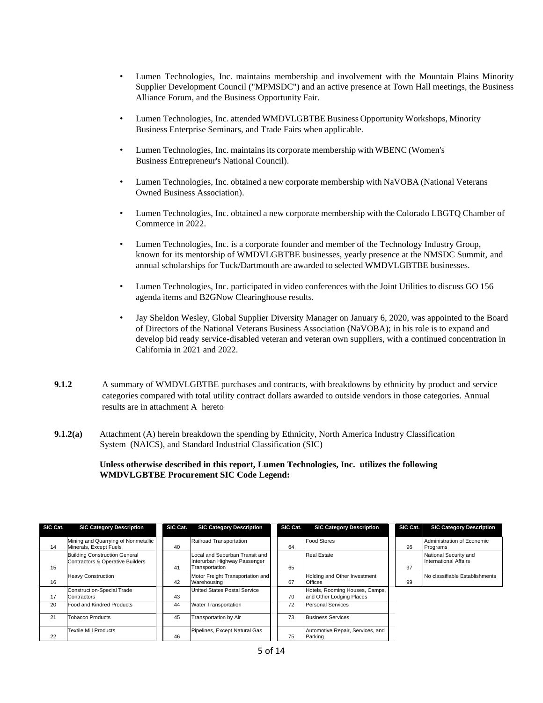- Lumen Technologies, Inc. maintains membership and involvement with the Mountain Plains Minority Supplier Development Council ("MPMSDC") and an active presence at Town Hall meetings, the Business Alliance Forum, and the Business Opportunity Fair.
- Lumen Technologies, Inc. attended WMDVLGBTBE Business Opportunity Workshops, Minority Business Enterprise Seminars, and Trade Fairs when applicable.
- Lumen Technologies, Inc. maintainsits corporate membership with WBENC (Women's Business Entrepreneur's National Council).
- Lumen Technologies, Inc. obtained a new corporate membership with NaVOBA (National Veterans Owned Business Association).
- Lumen Technologies, Inc. obtained a new corporate membership with the Colorado LBGTQ Chamber of Commerce in 2022.
- Lumen Technologies, Inc. is a corporate founder and member of the Technology Industry Group, known for its mentorship of WMDVLGBTBE businesses, yearly presence at the NMSDC Summit, and annual scholarships for Tuck/Dartmouth are awarded to selected WMDVLGBTBE businesses.
- Lumen Technologies, Inc. participated in video conferences with the Joint Utilities to discuss GO 156 agenda items and B2GNow Clearinghouse results.
- Jay Sheldon Wesley, Global Supplier Diversity Manager on January 6, 2020, was appointed to the Board of Directors of the National Veterans Business Association (NaVOBA); in his role is to expand and develop bid ready service-disabled veteran and veteran own suppliers, with a continued concentration in California in 2021 and 2022.
- **9.1.2** A summary of WMDVLGBTBE purchases and contracts, with breakdowns by ethnicity by product and service categories compared with total utility contract dollars awarded to outside vendors in those categories. Annual results are in attachment A hereto
- **9.1.2(a)** Attachment (A) herein breakdown the spending by Ethnicity, North America Industry Classification System (NAICS), and Standard Industrial Classification (SIC)

 **Unless otherwise described in this report, Lumen Technologies, Inc. utilizes the following WMDVLGBTBE Procurement SIC Code Legend:**

| SIC Cat. | <b>SIC Category Description</b>                                          | SIC Cat. | <b>SIC Category Description</b>                                                  | SIC Cat. | <b>SIC Category Description</b>                            | SIC Cat. | <b>SIC Category Description</b>                       |
|----------|--------------------------------------------------------------------------|----------|----------------------------------------------------------------------------------|----------|------------------------------------------------------------|----------|-------------------------------------------------------|
| 14       | Mining and Quarrying of Nonmetallic<br>Minerals, Except Fuels            | 40       | Railroad Transportation                                                          | 64       | <b>Food Stores</b>                                         | 96       | Administration of Economic<br>Programs                |
| 15       | <b>Building Construction General</b><br>Contractors & Operative Builders | 41       | Local and Suburban Transit and<br>Interurban Highway Passenger<br>Transportation | 65       | <b>Real Estate</b>                                         | 97       | National Security and<br><b>International Affairs</b> |
| 16       | <b>Heavy Construction</b>                                                | 42       | Motor Freight Transportation and<br>Warehousing                                  | 67       | Holding and Other Investment<br><b>Offices</b>             | 99       | No classifiable Establishments                        |
| 17       | Construction-Special Trade<br>Contractors                                | 43       | <b>United States Postal Service</b>                                              | 70       | Hotels, Rooming Houses, Camps,<br>and Other Lodging Places |          |                                                       |
| 20       | Food and Kindred Products                                                | 44       | <b>Water Transportation</b>                                                      | 72       | <b>Personal Services</b>                                   |          |                                                       |
| 21       | <b>Tobacco Products</b>                                                  | 45       | Transportation by Air                                                            | 73       | <b>Business Services</b>                                   |          |                                                       |
| 22       | <b>Textile Mill Products</b>                                             | 46       | Pipelines, Except Natural Gas                                                    | 75       | Automotive Repair, Services, and<br>Parking                |          |                                                       |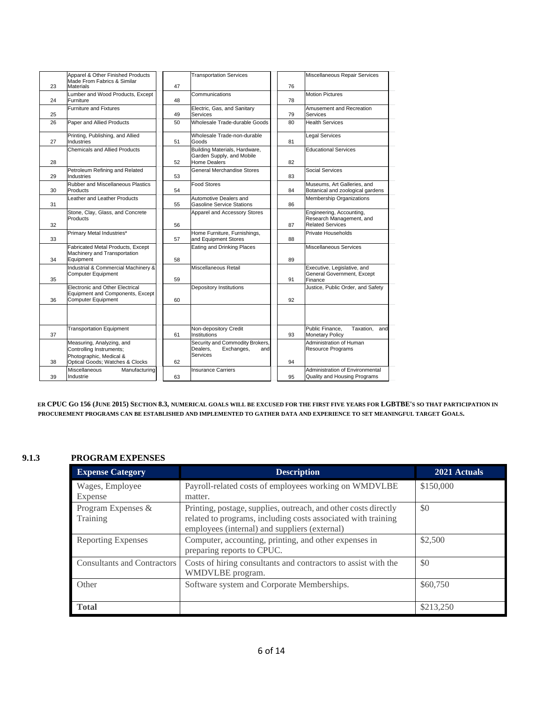|    | Apparel & Other Finished Products<br>Made From Fabrics & Similar                                                    |    | <b>Transportation Services</b>                                                    |    | Miscellaneous Repair Services                                                   |
|----|---------------------------------------------------------------------------------------------------------------------|----|-----------------------------------------------------------------------------------|----|---------------------------------------------------------------------------------|
| 23 | <b>Materials</b>                                                                                                    | 47 |                                                                                   | 76 |                                                                                 |
| 24 | Lumber and Wood Products, Except<br>Furniture                                                                       | 48 | Communications                                                                    | 78 | <b>Motion Pictures</b>                                                          |
| 25 | <b>Furniture and Fixtures</b>                                                                                       | 49 | Electric, Gas, and Sanitary<br>Services                                           | 79 | Amusement and Recreation<br>Services                                            |
| 26 | Paper and Allied Products                                                                                           | 50 | Wholesale Trade-durable Goods                                                     | 80 | <b>Health Services</b>                                                          |
| 27 | Printing, Publishing, and Allied<br>Industries                                                                      | 51 | Wholesale Trade-non-durable<br>Goods                                              | 81 | Legal Services                                                                  |
| 28 | <b>Chemicals and Allied Products</b>                                                                                | 52 | Building Materials, Hardware,<br>Garden Supply, and Mobile<br><b>Home Dealers</b> | 82 | <b>Educational Services</b>                                                     |
| 29 | Petroleum Refining and Related<br>Industries                                                                        | 53 | General Merchandise Stores                                                        | 83 | <b>Social Services</b>                                                          |
| 30 | <b>Rubber and Miscellaneous Plastics</b><br>Products                                                                | 54 | Food Stores                                                                       | 84 | Museums, Art Galleries, and<br>Botanical and zoological gardens                 |
| 31 | Leather and Leather Products                                                                                        | 55 | Automotive Dealers and<br><b>Gasoline Service Stations</b>                        | 86 | Membership Organizations                                                        |
| 32 | Stone, Clay, Glass, and Concrete<br><b>Products</b>                                                                 | 56 | Apparel and Accessory Stores                                                      | 87 | Engineering, Accounting,<br>Research Management, and<br><b>Related Services</b> |
| 33 | Primary Metal Industries*                                                                                           | 57 | Home Furniture, Furnishings,<br>and Equipment Stores                              | 88 | Private Households                                                              |
| 34 | Fabricated Metal Products, Except<br>Machinery and Transportation<br>Equipment                                      | 58 | Eating and Drinking Places                                                        | 89 | Miscellaneous Services                                                          |
| 35 | Industrial & Commercial Machinery &<br><b>Computer Equipment</b>                                                    | 59 | Miscellaneous Retail                                                              | 91 | Executive, Legislative, and<br>General Government, Except<br>Finance            |
| 36 | Electronic and Other Electrical<br>Equipment and Components, Except<br><b>Computer Equipment</b>                    | 60 | Depository Institutions                                                           | 92 | Justice, Public Order, and Safety                                               |
|    |                                                                                                                     |    |                                                                                   |    |                                                                                 |
| 37 | <b>Transportation Equipment</b>                                                                                     | 61 | Non-depository Credit<br><b>Institutions</b>                                      | 93 | Public Finance.<br>Taxation.<br>and<br><b>Monetary Policy</b>                   |
| 38 | Measuring, Analyzing, and<br>Controlling Instruments;<br>Photographic, Medical &<br>Optical Goods; Watches & Clocks | 62 | Security and Commodity Brokers,<br>Dealers.<br>Exchanges,<br>and<br>Services      | 94 | Administration of Human<br>Resource Programs                                    |
| 39 | Miscellaneous<br>Manufacturing<br>Industrie                                                                         | 63 | <b>Insurance Carriers</b>                                                         | 95 | Administration of Environmental<br>Quality and Housing Programs                 |

**ER CPUC GO 156 (JUNE 2015) SECTION 8.3, NUMERICAL GOALS WILL BE EXCUSED FOR THE FIRST FIVE YEARS FOR LGBTBE'S SO THAT PARTICIPATION IN PROCUREMENT PROGRAMS CAN BE ESTABLISHED AND IMPLEMENTED TO GATHER DATA AND EXPERIENCE TO SET MEANINGFUL TARGET GOALS.**

#### **9.1.3 PROGRAM EXPENSES**

| <b>Expense Category</b>            | <b>Description</b>                                                                                                                                                                | 2021 Actuals |
|------------------------------------|-----------------------------------------------------------------------------------------------------------------------------------------------------------------------------------|--------------|
| Wages, Employee<br>Expense         | Payroll-related costs of employees working on WMDVLBE<br>matter.                                                                                                                  | \$150,000    |
| Program Expenses &<br>Training     | Printing, postage, supplies, outreach, and other costs directly<br>related to programs, including costs associated with training<br>employees (internal) and suppliers (external) | \$0          |
| <b>Reporting Expenses</b>          | Computer, accounting, printing, and other expenses in<br>preparing reports to CPUC.                                                                                               | \$2,500      |
| <b>Consultants and Contractors</b> | Costs of hiring consultants and contractors to assist with the<br>WMDVLBE program.                                                                                                | \$0          |
| Other                              | Software system and Corporate Memberships.                                                                                                                                        | \$60,750     |
| <b>Total</b>                       |                                                                                                                                                                                   | \$213,250    |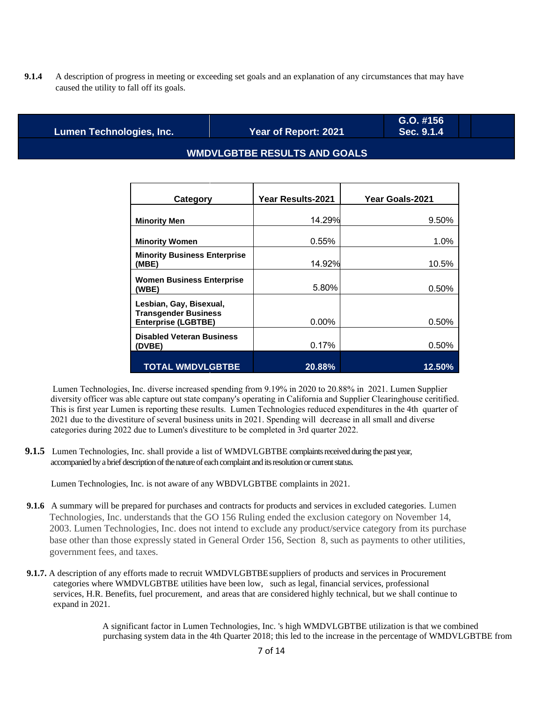**9.1.4** A description of progress in meeting or exceeding set goals and an explanation of any circumstances that may have caused the utility to fall off its goals.

**Lumen Technologies, Inc. Year of Report: 2021**

**G.O. #156 Sec. 9.1.4**

#### **WMDVLGBTBE RESULTS AND GOALS**

| Category                                                                             | <b>Year Results-2021</b> | Year Goals-2021 |
|--------------------------------------------------------------------------------------|--------------------------|-----------------|
| <b>Minority Men</b>                                                                  | 14.29%                   | 9.50%           |
| <b>Minority Women</b>                                                                | 0.55%                    | 1.0%            |
| <b>Minority Business Enterprise</b><br>(MBE)                                         | 14.92%                   | 10.5%           |
| <b>Women Business Enterprise</b><br>(WBE)                                            | 5.80%                    | 0.50%           |
| Lesbian, Gay, Bisexual,<br><b>Transgender Business</b><br><b>Enterprise (LGBTBE)</b> | $0.00\%$                 | 0.50%           |
| <b>Disabled Veteran Business</b><br>(DVBE)                                           | 0.17%                    | 0.50%           |
| <b>TOTAL WMDVLGBTBE</b>                                                              | 20.88%                   | 12.50%          |

Lumen Technologies, Inc. diverse increased spending from 9.19% in 2020 to 20.88% in 2021. Lumen Supplier diversity officer was able capture out state company's operating in California and Supplier Clearinghouse ceritified. This is first year Lumen is reporting these results. Lumen Technologies reduced expenditures in the 4th quarter of 2021 due to the divestiture of several business units in 2021. Spending will decrease in all small and diverse categories during 2022 due to Lumen's divestiture to be completed in 3rd quarter 2022.

**9.1.5** Lumen Technologies, Inc. shall provide a list of WMDVLGBTBE complaints received during the past year, accompanied by a brief description of the nature of each complaint and its resolution or current status.

Lumen Technologies, Inc. is not aware of any WBDVLGBTBE complaints in 2021.

- **9.1.6** A summary will be prepared for purchases and contracts for products and services in excluded categories. Lumen Technologies, Inc. understands that the GO 156 Ruling ended the exclusion category on November 14, 2003. Lumen Technologies, Inc. does not intend to exclude any product/service category from its purchase base other than those expressly stated in General Order 156, Section 8, such as payments to other utilities, government fees, and taxes.
- **9.1.7.** A description of any efforts made to recruit WMDVLGBTBEsuppliers of products and services in Procurement categories where WMDVLGBTBE utilities have been low, such as legal, financial services, professional services, H.R. Benefits, fuel procurement, and areas that are considered highly technical, but we shall continue to expand in 2021.

A significant factor in Lumen Technologies, Inc. 's high WMDVLGBTBE utilization is that we combined purchasing system data in the 4th Quarter 2018; this led to the increase in the percentage of WMDVLGBTBE from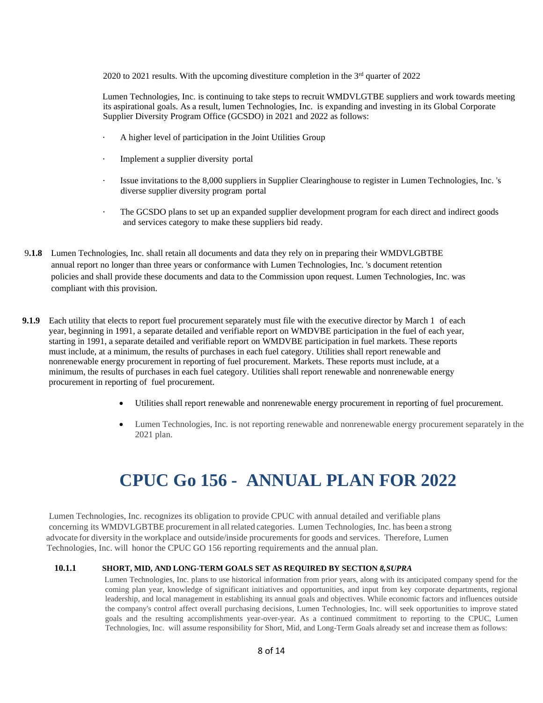2020 to 2021 results. With the upcoming divestiture completion in the  $3<sup>rd</sup>$  quarter of 2022

Lumen Technologies, Inc. is continuing to take steps to recruit WMDVLGTBE suppliers and work towards meeting its aspirational goals. As a result, lumen Technologies, Inc. is expanding and investing in its Global Corporate Supplier Diversity Program Office (GCSDO) in 2021 and 2022 as follows:

- A higher level of participation in the Joint Utilities Group
- Implement a supplier diversity portal
- Issue invitations to the 8,000 suppliers in Supplier Clearinghouse to register in Lumen Technologies, Inc. 's diverse supplier diversity program portal
- The GCSDO plans to set up an expanded supplier development program for each direct and indirect goods and services category to make these suppliers bid ready.
- 9**.1.8** Lumen Technologies, Inc. shall retain all documents and data they rely on in preparing their WMDVLGBTBE annual report no longer than three years or conformance with Lumen Technologies, Inc. 's document retention policies and shall provide these documents and data to the Commission upon request. Lumen Technologies, Inc. was compliant with this provision.
- **9.1.9** Each utility that elects to report fuel procurement separately must file with the executive director by March 1 of each year, beginning in 1991, a separate detailed and verifiable report on WMDVBE participation in the fuel of each year, starting in 1991, a separate detailed and verifiable report on WMDVBE participation in fuel markets. These reports must include, at a minimum, the results of purchases in each fuel category. Utilities shall report renewable and nonrenewable energy procurement in reporting of fuel procurement. Markets. These reports must include, at a minimum, the results of purchases in each fuel category. Utilities shall report renewable and nonrenewable energy procurement in reporting of fuel procurement.
	- Utilities shall report renewable and nonrenewable energy procurement in reporting of fuel procurement.
	- Lumen Technologies, Inc. is not reporting renewable and nonrenewable energy procurement separately in the 2021 plan.

## **CPUC Go 156 - ANNUAL PLAN FOR 2022**

 Lumen Technologies, Inc. recognizes its obligation to provide CPUC with annual detailed and verifiable plans concerning its WMDVLGBTBE procurement in allrelated categories. Lumen Technologies, Inc. has been a strong advocate for diversity in the workplace and outside/inside procurements for goods and services. Therefore, Lumen Technologies, Inc. will honor the CPUC GO 156 reporting requirements and the annual plan.

#### **10.1.1 SHORT, MID, AND LONG-TERM GOALS SET AS REQUIRED BY SECTION** *8,SUPRA*

Lumen Technologies, Inc. plans to use historical information from prior years, along with its anticipated company spend for the coming plan year, knowledge of significant initiatives and opportunities, and input from key corporate departments, regional leadership, and local management in establishing its annual goals and objectives. While economic factors and influences outside the company's control affect overall purchasing decisions, Lumen Technologies, Inc. will seek opportunities to improve stated goals and the resulting accomplishments year-over-year. As a continued commitment to reporting to the CPUC, Lumen Technologies, Inc. will assume responsibility for Short, Mid, and Long-Term Goals already set and increase them as follows: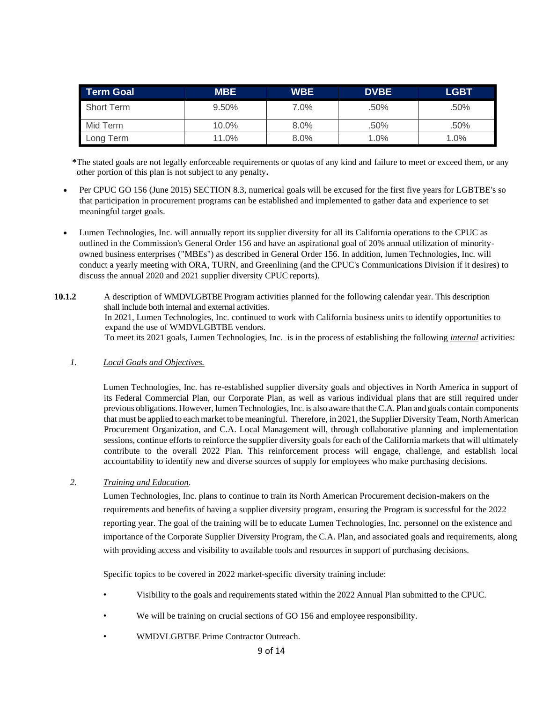| Term Goal         | <b>MBE</b> | <b>WBE</b> | <b>DVBE</b> | <b>LGBT</b> |
|-------------------|------------|------------|-------------|-------------|
| <b>Short Term</b> | 9.50%      | 7.0%       | .50%        | .50%        |
| Mid Term          | 10.0%      | $8.0\%$    | .50%        | .50%        |
| Long Term         | 11.0%      | 8.0%       | $1.0\%$     | $1.0\%$     |

**\***The stated goals are not legally enforceable requirements or quotas of any kind and failure to meet or exceed them, or any other portion of this plan is not subject to any penalty**.**

- Per CPUC GO 156 (June 2015) SECTION 8.3, numerical goals will be excused for the first five years for LGBTBE's so that participation in procurement programs can be established and implemented to gather data and experience to set meaningful target goals.
- Lumen Technologies, Inc. will annually report its supplier diversity for all its California operations to the CPUC as outlined in the Commission's General Order 156 and have an aspirational goal of 20% annual utilization of minorityowned business enterprises ("MBEs") as described in General Order 156. In addition, lumen Technologies, Inc. will conduct a yearly meeting with ORA, TURN, and Greenlining (and the CPUC's Communications Division if it desires) to discuss the annual 2020 and 2021 supplier diversity CPUC reports).
- **10.1.2** A description of WMDVLGBTBE Program activities planned for the following calendar year. This description shall include both internal and external activities. In 2021, Lumen Technologies, Inc. continued to work with California business units to identify opportunities to expand the use of WMDVLGBTBE vendors. To meet its 2021 goals, Lumen Technologies, Inc. is in the process of establishing the following *internal* activities:
	- *1. Local Goals and Objectives.*

Lumen Technologies, Inc. has re-established supplier diversity goals and objectives in North America in support of its Federal Commercial Plan, our Corporate Plan, as well as various individual plans that are still required under previous obligations. However, lumen Technologies, Inc. is also aware that theC.A. Plan and goals contain components that must be applied to each market to be meaningful. Therefore, in 2021, the Supplier Diversity Team, North American Procurement Organization, and C.A. Local Management will, through collaborative planning and implementation sessions, continue efforts to reinforce the supplier diversity goals for each of the California markets that will ultimately contribute to the overall 2022 Plan. This reinforcement process will engage, challenge, and establish local accountability to identify new and diverse sources of supply for employees who make purchasing decisions.

*2. Training and Education.*

Lumen Technologies, Inc. plans to continue to train its North American Procurement decision-makers on the requirements and benefits of having a supplier diversity program, ensuring the Program is successful for the 2022 reporting year. The goal of the training will be to educate Lumen Technologies, Inc. personnel on the existence and importance of the Corporate Supplier Diversity Program, the C.A. Plan, and associated goals and requirements, along with providing access and visibility to available tools and resources in support of purchasing decisions.

Specific topics to be covered in 2022 market-specific diversity training include:

- Visibility to the goals and requirements stated within the 2022 Annual Plan submitted to the CPUC.
- We will be training on crucial sections of GO 156 and employee responsibility.
- WMDVLGBTBE Prime Contractor Outreach.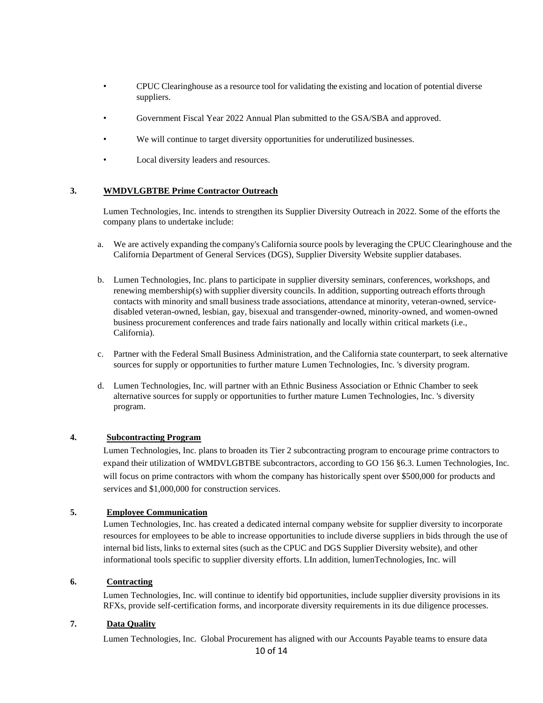- CPUC Clearinghouse as a resource tool for validating the existing and location of potential diverse suppliers.
- Government Fiscal Year 2022 Annual Plan submitted to the GSA/SBA and approved.
- We will continue to target diversity opportunities for underutilized businesses.
- Local diversity leaders and resources.

#### **3. WMDVLGBTBE Prime Contractor Outreach**

Lumen Technologies, Inc. intends to strengthen its Supplier Diversity Outreach in 2022. Some of the efforts the company plans to undertake include:

- a. We are actively expanding the company's California source pools by leveraging the CPUC Clearinghouse and the California Department of General Services (DGS), Supplier Diversity Website supplier databases.
- b. Lumen Technologies, Inc. plans to participate in supplier diversity seminars, conferences, workshops, and renewing membership(s) with supplier diversity councils. In addition, supporting outreach efforts through contacts with minority and small business trade associations, attendance at minority, veteran-owned, servicedisabled veteran-owned, lesbian, gay, bisexual and transgender-owned, minority-owned, and women-owned business procurement conferences and trade fairs nationally and locally within critical markets (i.e., California).
- c. Partner with the Federal Small Business Administration, and the California state counterpart, to seek alternative sources for supply or opportunities to further mature Lumen Technologies, Inc. 's diversity program.
- d. Lumen Technologies, Inc. will partner with an Ethnic Business Association or Ethnic Chamber to seek alternative sources for supply or opportunities to further mature Lumen Technologies, Inc. 's diversity program.

#### **4. Subcontracting Program**

Lumen Technologies, Inc. plans to broaden its Tier 2 subcontracting program to encourage prime contractors to expand their utilization of WMDVLGBTBE subcontractors, according to GO 156 §6.3. Lumen Technologies, Inc. will focus on prime contractors with whom the company has historically spent over \$500,000 for products and services and \$1,000,000 for construction services.

#### **5. Employee Communication**

Lumen Technologies, Inc. has created a dedicated internal company website for supplier diversity to incorporate resources for employees to be able to increase opportunities to include diverse suppliers in bids through the use of internal bid lists, links to external sites (such as the CPUC and DGS Supplier Diversity website), and other informational tools specific to supplier diversity efforts. LIn addition, lumenTechnologies, Inc. will

#### **6. Contracting**

Lumen Technologies, Inc. will continue to identify bid opportunities, include supplier diversity provisions in its RFXs, provide self-certification forms, and incorporate diversity requirements in its due diligence processes.

#### **7. Data Quality**

Lumen Technologies, Inc. Global Procurement has aligned with our Accounts Payable teams to ensure data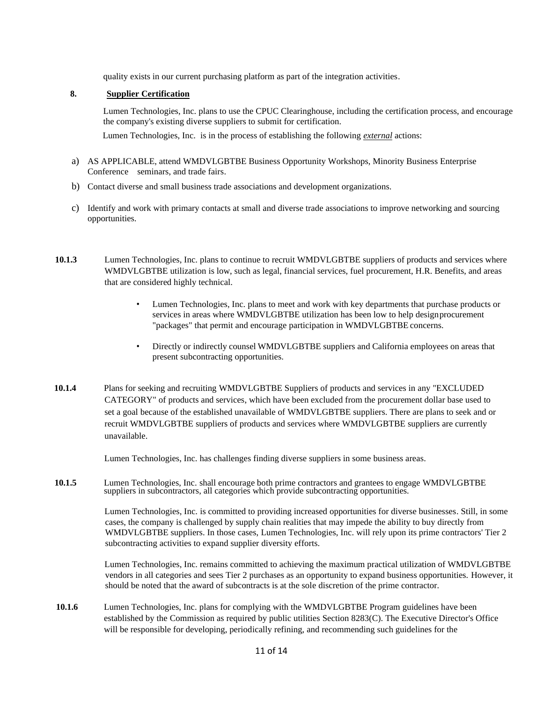quality exists in our current purchasing platform as part of the integration activities.

#### **8. Supplier Certification**

Lumen Technologies, Inc. plans to use the CPUC Clearinghouse, including the certification process, and encourage the company's existing diverse suppliers to submit for certification.

Lumen Technologies, Inc. is in the process of establishing the following *external* actions:

- a) AS APPLICABLE, attend WMDVLGBTBE Business Opportunity Workshops, Minority Business Enterprise Conference seminars, and trade fairs.
- b) Contact diverse and small business trade associations and development organizations.
- c) Identify and work with primary contacts at small and diverse trade associations to improve networking and sourcing opportunities.
- **10.1.3** Lumen Technologies, Inc. plans to continue to recruit WMDVLGBTBE suppliers of products and services where WMDVLGBTBE utilization is low, such as legal, financial services, fuel procurement, H.R. Benefits, and areas that are considered highly technical.
	- Lumen Technologies, Inc. plans to meet and work with key departments that purchase products or services in areas where WMDVLGBTBE utilization has been low to help designprocurement "packages" that permit and encourage participation in WMDVLGBTBE concerns.
	- Directly or indirectly counsel WMDVLGBTBE suppliers and California employees on areas that present subcontracting opportunities.
- **10.1.4** Plans for seeking and recruiting WMDVLGBTBE Suppliers of products and services in any "EXCLUDED CATEGORY" of products and services, which have been excluded from the procurement dollar base used to set a goal because of the established unavailable of WMDVLGBTBE suppliers. There are plans to seek and or recruit WMDVLGBTBE suppliers of products and services where WMDVLGBTBE suppliers are currently unavailable.

Lumen Technologies, Inc. has challenges finding diverse suppliers in some business areas.

10.1.5 Lumen Technologies, Inc. shall encourage both prime contractors and grantees to engage WMDVLGBTBE suppliers in subcontractors, all categories which provide subcontracting opportunities.

> Lumen Technologies, Inc. is committed to providing increased opportunities for diverse businesses. Still, in some cases, the company is challenged by supply chain realities that may impede the ability to buy directly from WMDVLGBTBE suppliers. In those cases, Lumen Technologies, Inc. will rely upon its prime contractors' Tier 2 subcontracting activities to expand supplier diversity efforts.

> Lumen Technologies, Inc. remains committed to achieving the maximum practical utilization of WMDVLGBTBE vendors in all categories and sees Tier 2 purchases as an opportunity to expand business opportunities. However, it should be noted that the award of subcontracts is at the sole discretion of the prime contractor.

**10.1.6** Lumen Technologies, Inc. plans for complying with the WMDVLGBTBE Program guidelines have been established by the Commission as required by public utilities Section 8283(C). The Executive Director's Office will be responsible for developing, periodically refining, and recommending such guidelines for the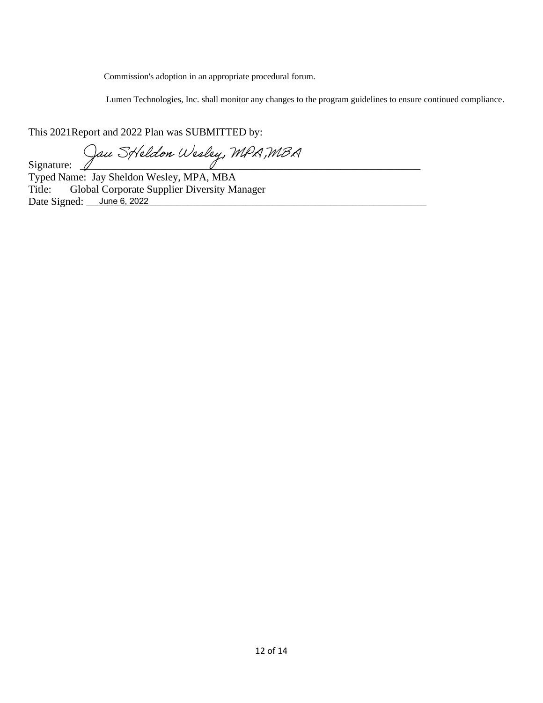Commission's adoption in an appropriate procedural forum.

Lumen Technologies, Inc. shall monitor any changes to the program guidelines to ensure continued compliance.

This 2021Report and 2022 Plan was SUBMITTED by:

Signature: Jau Streldon Wesley, MPA, MBA

 Typed Name: Jay Sheldon Wesley, MPA, MBA Title: Global Corporate Supplier Diversity Manager Date Signed: \_\_\_\_\_ June 6, 2022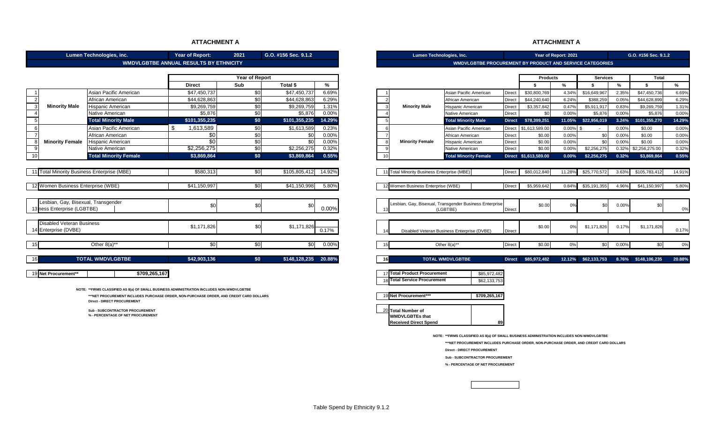#### **ATTACHMENT A**

|                                            | Lumen Technologies, inc.                                                                  | Lumen Technologies, Inc.                      |                       |               |          | Year of Report: 2021                        |                                                                 |               | G.O. #156 Sec. 9.1.2  |          |                 |       |                     |        |
|--------------------------------------------|-------------------------------------------------------------------------------------------|-----------------------------------------------|-----------------------|---------------|----------|---------------------------------------------|-----------------------------------------------------------------|---------------|-----------------------|----------|-----------------|-------|---------------------|--------|
|                                            |                                                                                           | <b>WMDVLGBTBE ANNUAL RESULTS BY ETHNICITY</b> |                       |               |          |                                             | <b>WMDVLGBTBE PROCUREMENT BY PRODUCT AND SERVICE CATEGORIES</b> |               |                       |          |                 |       |                     |        |
|                                            |                                                                                           |                                               |                       |               |          |                                             |                                                                 |               |                       |          |                 |       |                     |        |
|                                            |                                                                                           |                                               | <b>Year of Report</b> |               |          |                                             |                                                                 |               | <b>Products</b>       |          | <b>Services</b> |       | <b>Total</b>        |        |
|                                            |                                                                                           | <b>Direct</b>                                 | <b>Sub</b>            | Total \$      | %        |                                             |                                                                 |               | -\$                   | %        | -\$             | %     | - \$                | %      |
|                                            | Asian Pacific American                                                                    | \$47,450,737                                  | \$0                   | \$47,450,737  | 6.69%    |                                             | Asian Pacific American                                          | <b>Direct</b> | \$30,800,769          | 4.34%    | \$16,649,967    | 2.35% | \$47,450,736        | 6.69%  |
|                                            | African American                                                                          | \$44,628,863                                  | \$0                   | \$44,628,863  | 6.29%    |                                             | African American                                                | <b>Direct</b> | \$44,240,640          | 6.24%    | \$388,259       | 0.05% | \$44,628,899        | 6.29%  |
| <b>Minority Male</b>                       | Hispanic American                                                                         | \$9,269,759                                   | \$0                   | \$9,269,759   | 1.31%    | <b>Minority Male</b>                        | Hispanic American                                               | <b>Direct</b> | \$3,357,842           | 0.47%    | \$5,911,917     | 0.83% | \$9,269,759         | 1.31%  |
|                                            | Native American                                                                           | \$5,876                                       | \$0                   | \$5,876       | 0.00%    |                                             | Native American                                                 | <b>Direct</b> | \$0                   | 0.00%    | \$5,876         | 0.00% | \$5,876             | 0.00%  |
|                                            | <b>Total Minority Male</b>                                                                | \$101.355.235                                 | \$0                   | \$101,355,235 | 14.29%   |                                             | <b>Total Minority Male</b>                                      | <b>Direct</b> | \$78,399,251          | 11.05%   | \$22,956,019    | 3.24% | \$101,355,270       | 14.29% |
| 6                                          | Asian Pacific American                                                                    | 1,613,589                                     | \$0                   | \$1,613,589   | 0.23%    |                                             | Asian Pacific American                                          | Direct        | \$1,613,589.00        | 0.00%    | $\sim$          | 0.00% | \$0.00              | 0.00%  |
|                                            | African American                                                                          | \$0                                           | \$0                   | \$0           | 0.00%    |                                             | African American                                                | <b>Direct</b> | \$0.00                | 0.00%    | \$0             | 0.00% | \$0.00              | 0.00%  |
| <b>Minority Female</b>                     | Hispanic American                                                                         | \$0                                           | \$0                   | \$0           | 0.00%    | <b>Minority Female</b>                      | Hispanic American                                               | <b>Direct</b> | \$0.00                | 0.00%    | \$0             | 0.00% | \$0.00              | 0.00%  |
|                                            | Native American                                                                           | \$2,256,275                                   | \$0                   | \$2,256,275   | 0.32%    |                                             | Native American                                                 | <b>Direct</b> | \$0.00                | 0.00%    | \$2,256,275     | 0.32% | \$2,256,275.00      | 0.32%  |
| 10                                         | <b>Total Minority Female</b>                                                              | \$3,869,864                                   | \$0                   | \$3,869,864   | 0.55%    |                                             | <b>Total Minority Female</b>                                    |               | Direct \$1,613,589.00 | $0.00\%$ | \$2,256,275     | 0.32% | \$3,869,864         | 0.55%  |
|                                            |                                                                                           |                                               |                       |               |          |                                             |                                                                 |               |                       |          |                 |       |                     |        |
| 1 Total Minority Business Enterprise (MBE) |                                                                                           | \$580,313                                     | \$0                   | \$105,805,412 | 14.92%   | 11 Total Minority Business Enterprise (MBE) |                                                                 | <b>Direct</b> | \$80,012,840          | 11.28%   | \$25,770,572    | 3.63% | \$105,783,412       | 14.91% |
|                                            |                                                                                           |                                               |                       |               |          |                                             |                                                                 |               |                       |          |                 |       |                     |        |
| 2 Women Business Enterprise (WBE)          |                                                                                           | \$41,150,997                                  | \$0                   | \$41,150,998  | 5.80%    | 12 Women Business Enterprise (WBE)          |                                                                 | <b>Direct</b> | \$5,959,642           | 0.84%    | \$35,191,355    | 4.96% | \$41,150,997        | 5.80%  |
|                                            |                                                                                           |                                               |                       |               |          |                                             |                                                                 |               |                       |          |                 |       |                     |        |
| Lesbian, Gay, Bisexual, Transgender        |                                                                                           |                                               |                       |               |          |                                             |                                                                 |               |                       |          |                 |       |                     |        |
| 3 ness Enterprise (LGBTBE)                 |                                                                                           | \$0                                           | \$0                   | \$0           | 0.00%    |                                             | Lesbian, Gay, Bisexual, Transgender Business Enterprise         |               | \$0.00                | 0%       | \$0             | 0.00% | \$0                 | 0%     |
|                                            |                                                                                           |                                               |                       |               |          |                                             | (LGBTBE)                                                        | <b>Direct</b> |                       |          |                 |       |                     |        |
|                                            |                                                                                           |                                               |                       |               |          |                                             |                                                                 |               |                       |          |                 |       |                     |        |
| <b>Disabled Veteran Business</b>           |                                                                                           | \$1.171.826                                   | \$0                   | \$1,171,826   |          |                                             |                                                                 |               | \$0.00                | 0%       | \$1,171,826     | 0.17% | \$1,171,826         |        |
| 14 Enterprise (DVBE)                       |                                                                                           |                                               |                       |               | 0.17%    |                                             | Disabled Veteran Business Enterprise (DVBE)                     | Direct        |                       |          |                 |       |                     | 0.17%  |
|                                            |                                                                                           |                                               |                       |               |          |                                             |                                                                 |               |                       |          |                 |       |                     |        |
|                                            | Other 8(a)**                                                                              | \$0                                           | \$0                   | \$0           | $0.00\%$ |                                             | Other 8(a)**                                                    | <b>Direct</b> | \$0.00                | 0%       | \$0             | 0.00% | \$0                 | 0%     |
|                                            |                                                                                           |                                               |                       |               |          |                                             |                                                                 |               |                       |          |                 |       |                     |        |
|                                            | <b>TOTAL WMDVLGBTBE</b>                                                                   | \$42,903,136                                  | \$0                   | \$148,128,235 | 20.88%   |                                             | <b>TOTAL WMDVLGBTBE</b>                                         | <b>Direct</b> | \$85,972,482          | 12.12%   | \$62,133,753    |       | 8.76% \$148,106,235 | 20.88% |
|                                            |                                                                                           |                                               |                       |               |          |                                             |                                                                 |               |                       |          |                 |       |                     |        |
| 19 Net Procurement**                       | \$709,265,167                                                                             |                                               |                       |               |          | 17 Total Product Procurement                | \$85,972,482                                                    |               |                       |          |                 |       |                     |        |
|                                            |                                                                                           |                                               |                       |               |          | <b>Total Service Procurement</b>            | \$62,133,753                                                    |               |                       |          |                 |       |                     |        |
|                                            | NOTE: **FIRMS CLASSIFIED AS 8(a) OF SMALL BUSINESS ADMINISTRATION INCLUDES NON-WMDVLGBTBE |                                               |                       |               |          |                                             |                                                                 |               |                       |          |                 |       |                     |        |
|                                            | ***NET PROCUREMENT INCLUDES PURCHASE ORDER, NON-PURCHASE ORDER, AND CREDIT CARD DOLLARS   |                                               |                       |               |          | 19 Net Procurement***                       | \$709,265,167                                                   |               |                       |          |                 |       |                     |        |
|                                            | <b>Direct - DIRECT PROCUREMENT</b>                                                        |                                               |                       |               |          |                                             |                                                                 |               |                       |          |                 |       |                     |        |
|                                            | <b>Sub - SUBCONTRACTOR PROCUREMENT</b>                                                    |                                               |                       |               |          | Total Number of                             |                                                                 |               |                       |          |                 |       |                     |        |
|                                            | % - PERCENTAGE OF NET PROCUREMENT                                                         |                                               |                       |               |          | <b>WMDVLGBTEs that</b>                      |                                                                 |               |                       |          |                 |       |                     |        |
|                                            |                                                                                           |                                               |                       |               |          | <b>Received Direct Spend</b>                |                                                                 |               |                       |          |                 |       |                     |        |
|                                            |                                                                                           |                                               |                       |               |          |                                             |                                                                 |               |                       |          |                 |       |                     |        |

#### **ATTACHMENT A**

|                                    | Lumen Technologies, inc.                        | Year of Report:                               | 2021                  | G.O. #156 Sec. 9.1.2 |        |                                                 | Lumen Technologies, Inc.                                |
|------------------------------------|-------------------------------------------------|-----------------------------------------------|-----------------------|----------------------|--------|-------------------------------------------------|---------------------------------------------------------|
|                                    |                                                 | <b>WMDVLGBTBE ANNUAL RESULTS BY ETHNICITY</b> |                       |                      |        |                                                 | <b>WMDVLGBTBE PROCU</b>                                 |
|                                    |                                                 |                                               |                       |                      |        |                                                 |                                                         |
|                                    |                                                 |                                               | <b>Year of Report</b> |                      |        |                                                 |                                                         |
|                                    |                                                 | <b>Direct</b>                                 | Sub                   | Total \$             | %      |                                                 |                                                         |
|                                    | Asian Pacific American                          | \$47,450,737                                  | \$0                   | \$47,450,737         | 6.69%  |                                                 | Asian Pacific American                                  |
| $\overline{2}$                     | African American                                | \$44,628,863                                  | \$0                   | \$44,628,863         | 6.29%  |                                                 | African American                                        |
| 3<br><b>Minority Male</b>          | Hispanic American                               | \$9,269,759                                   | \$0                   | \$9,269,759          | 1.31%  | <b>Minority Male</b><br>-3                      | Hispanic American                                       |
|                                    | Native American                                 | \$5,876                                       | \$0                   | \$5,876              | 0.00%  |                                                 | Native American                                         |
| 5                                  | <b>Total Minority Male</b>                      | \$101,355,235                                 | \$0                   | \$101,355,235        | 14.29% | F                                               | <b>Total Minority Male</b>                              |
| 6                                  | Asian Pacific American                          | \$<br>1,613,589                               | \$0                   | \$1,613,589          | 0.23%  | $\epsilon$                                      | Asian Pacific American                                  |
|                                    | African American                                | \$0                                           | $\sqrt{6}$            | \$0                  | 0.00%  | 7                                               | African American                                        |
| <b>Minority Female</b><br>8        | Hispanic American                               | $\overline{30}$                               | \$0                   | \$0                  | 0.00%  | <b>Minority Female</b><br>8                     | Hispanic American                                       |
| $\mathbf{q}$                       | Native American                                 | \$2,256,275                                   | $\overline{50}$       | \$2,256,275          | 0.32%  | -9                                              | Native American                                         |
| 10                                 | <b>Total Minority Female</b>                    | \$3,869,864                                   | \$0                   | \$3,869,864          | 0.55%  | 10                                              | <b>Total Minority Female</b>                            |
|                                    |                                                 |                                               |                       |                      |        |                                                 |                                                         |
|                                    | <b>Total Minority Business Enterprise (MBE)</b> | \$580,313                                     | $rac{1}{2}$           | \$105,805,412        | 14.92% | <b>Total Minority Business Enterprise (MBE)</b> |                                                         |
|                                    |                                                 |                                               |                       |                      |        |                                                 |                                                         |
| 12 Women Business Enterprise (WBE) |                                                 | \$41,150,997                                  | \$0                   | \$41,150,998         | 5.80%  | 12 Women Business Enterprise (WBE)              |                                                         |
|                                    |                                                 |                                               |                       |                      |        |                                                 |                                                         |
|                                    |                                                 |                                               |                       |                      |        |                                                 |                                                         |
| esbian, Gay, Bisexual, Transgender |                                                 | \$0                                           | \$0                   | \$0                  |        |                                                 | Lesbian, Gay, Bisexual, Transgender Business Enterprise |
| 13 ness Enterprise (LGBTBE)        |                                                 |                                               |                       |                      | 0.00%  |                                                 | (LGBTBE)                                                |
|                                    |                                                 |                                               |                       |                      |        |                                                 |                                                         |
| <b>Disabled Veteran Business</b>   |                                                 | \$1,171,826                                   | \$0                   | \$1,171,826          |        |                                                 |                                                         |
| Enterprise (DVBE)                  |                                                 |                                               |                       |                      | 0.17%  |                                                 | Disabled Veteran Business Enterprise (DVBE)             |
|                                    |                                                 |                                               |                       |                      |        |                                                 |                                                         |
| 15                                 | Other $8(a)$ **                                 | \$0                                           | $rac{1}{2}$           | \$0                  | 0.00%  | 15                                              | Other $8(a)$ **                                         |
|                                    |                                                 |                                               |                       |                      |        |                                                 |                                                         |
| 16                                 | <b>TOTAL WMDVLGBTBE</b>                         | \$42,903,136                                  | \$0                   | \$148,128,235        | 20.88% | 16                                              | <b>TOTAL WMDVLGBTBE</b>                                 |
|                                    |                                                 |                                               |                       |                      |        |                                                 |                                                         |
| 19 Net Procurement**               | \$709,265,167                                   |                                               |                       |                      |        | 17 Total Product Procurement                    | \$85,972,482                                            |

**NOTE: \*\*FIRMS CLASSIFIED AS 8(a) OF SMALL BUSINESS ADMINISTRATION INCLUDES NON-WMDVLGBTBE**

**\*\*\*NET PROCUREMENT INCLUDES PURCHASE ORDER, NON-PURCHASE ORDER, AND CREDIT CARD DOLLARS**

**Direct - DIRECT PROCUREMENT**

**Sub - SUBCONTRACTOR PROCUREMENT**

**% - PERCENTAGE OF NET PROCUREMENT**

Table Spend by Ethnicity 9.1.2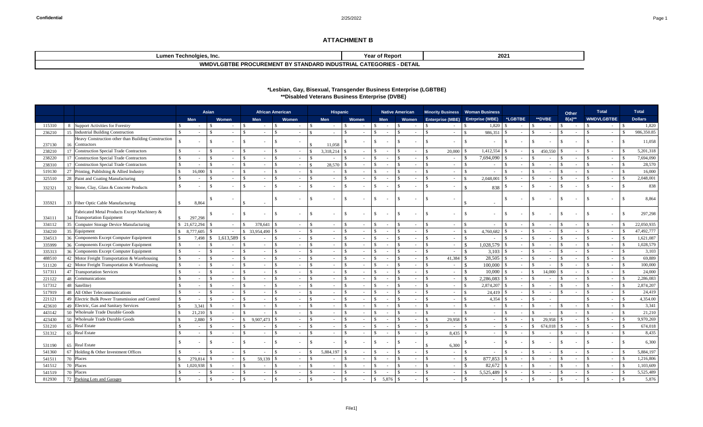## **\*Lesbian, Gay, Bisexual, Transgender Business Enterprise (LGBTBE)** *\*\*Disabled Veterans Business Enterprise (DVBE)*

|                  |                                                                             | <b>Asian</b>  |         |                         |               |                 | <b>African American</b> |               | <b>Hispanic</b>          |               |                          |                             | <b>Native American</b> |                          |               |            | Minority Business   Woman Business |                         |                         | <b>Other</b>  |          |               | <b>Total</b>                 |               | <b>Total</b>   |  |
|------------------|-----------------------------------------------------------------------------|---------------|---------|-------------------------|---------------|-----------------|-------------------------|---------------|--------------------------|---------------|--------------------------|-----------------------------|------------------------|--------------------------|---------------|------------|------------------------------------|-------------------------|-------------------------|---------------|----------|---------------|------------------------------|---------------|----------------|--|
|                  |                                                                             | <b>Men</b>    |         | <b>Women</b>            |               | <b>Men</b>      | Women                   |               | <b>Men</b>               |               | <b>Women</b>             | <b>Men</b>                  |                        | Women                    |               |            | Enterprise (MBE) Entrprise (WBE)   | *LGBTBE                 | <b>**DVBE</b>           |               | $8(a)**$ |               | <b>WMDVLGBTBE</b>            |               | <b>Dollars</b> |  |
| 115310           | 8 Support Activities for Forestry                                           |               |         |                         |               |                 |                         |               |                          |               |                          |                             |                        |                          |               |            | 1,820                              |                         |                         |               |          |               | $\sim$                       |               | 1,820          |  |
| 236210           | 15 Industrial Building Construction                                         |               |         |                         |               |                 |                         |               |                          |               |                          |                             |                        |                          |               |            | 986,351                            |                         |                         |               |          |               |                              |               | 986,350.85     |  |
|                  | Heavy Construction other than Building Construction                         |               |         |                         |               |                 |                         |               |                          |               |                          |                             |                        |                          |               | $\sim$     |                                    |                         |                         |               |          |               |                              |               | 11,058         |  |
| 237130           | 16 Contractors                                                              |               |         |                         |               |                 |                         |               | 11,058                   |               |                          |                             |                        |                          |               |            |                                    |                         |                         |               |          |               |                              |               |                |  |
| 238210           | <b>Construction Special Trade Contractors</b><br>17                         |               |         |                         |               |                 |                         |               | 3,318,214                |               |                          |                             |                        |                          |               | 20,000     | 1,412,554                          |                         | 450,550                 |               |          |               | $\sim$                       |               | 5,201,318      |  |
| 238220           | Construction Special Trade Contractors<br>17                                |               |         |                         |               |                 |                         |               |                          |               |                          |                             |                        |                          |               | $\sim$     | 7,694,090                          |                         |                         |               |          |               | $\sim$                       |               | 7,694,090      |  |
| 238310           | Construction Special Trade Contractors<br>17                                |               |         |                         |               |                 |                         |               | 28,570                   |               |                          |                             |                        |                          |               | $\sim$     |                                    |                         |                         |               |          |               |                              |               | 28,570         |  |
| 519130           | 27 Printing, Publishing & Allied Industry                                   |               | 16,000  |                         |               |                 |                         |               |                          |               |                          |                             |                        |                          |               | $\sim$     |                                    |                         |                         |               |          |               | $\sim$                       |               | 16,000         |  |
| 325510           | 28 Paint and Coating Manufacturing                                          |               |         |                         |               |                 |                         |               |                          |               |                          |                             |                        |                          |               | $\sim$     | 2,048,001                          |                         |                         |               |          |               | $\sim$                       |               | 2,048,001      |  |
| 332321           | 32 Stone, Clay, Glass & Concrete Products                                   |               |         |                         |               |                 |                         |               |                          |               |                          |                             |                        |                          |               | $\sim$     | 838                                |                         |                         |               |          |               | $\sim$                       |               | 838            |  |
|                  |                                                                             |               |         |                         |               |                 |                         |               |                          |               |                          |                             |                        |                          |               |            |                                    |                         |                         |               |          |               |                              |               |                |  |
| 335921           | 33 Fiber Optic Cable Manufacturing                                          |               | 8,864   |                         |               |                 |                         |               |                          |               |                          |                             |                        |                          |               |            |                                    |                         |                         |               |          |               | $\sim$                       |               | 8,864          |  |
|                  |                                                                             |               |         |                         |               |                 |                         |               |                          |               |                          |                             |                        |                          |               |            |                                    |                         |                         |               |          |               |                              |               |                |  |
|                  | Fabricated Metal Products Except Machinery &<br>34 Transportation Equipment | $\mathcal{S}$ |         |                         |               |                 |                         |               |                          |               |                          |                             |                        |                          |               |            |                                    |                         |                         |               |          |               | $\sim$                       |               | 297,298        |  |
| 334111           | 35<br>Computer Storage Device Manufacturing                                 | \$21,672,294  | 297,298 |                         |               | 378,641         |                         |               |                          |               | $\overline{\phantom{a}}$ |                             |                        |                          |               | $\sim$     |                                    |                         |                         |               |          |               | $\sim$                       |               | 22,050,935     |  |
| 334112<br>334210 | 35 Equipment                                                                | 8,777,605     |         |                         |               | 33,954,490      |                         |               |                          | $\mathcal{S}$ |                          |                             |                        |                          |               | $\sim$     | 4,760,682                          |                         |                         |               |          |               |                              |               | 47,492,777     |  |
| 334513           | 36 Components Except Computer Equipment                                     |               | 7,498   | 1,613,589               | $\mathcal{L}$ |                 |                         |               |                          | $\mathcal{S}$ |                          |                             |                        |                          |               | $\sim$     |                                    |                         |                         |               |          |               | $\sim$ $-$<br>$\sim$ $^{-1}$ |               | 1,621,087      |  |
| 335999           | 36 Components Except Computer Equipment                                     |               |         |                         |               |                 |                         |               |                          |               |                          |                             |                        |                          |               | $\sim$ $-$ | 1,028,579                          |                         |                         |               |          |               | $\sim$ $-$                   |               | 1,028,579      |  |
| 33531            | 36 Components Except Computer Equipment                                     |               |         |                         |               |                 |                         |               |                          | $\mathcal{L}$ |                          |                             |                        |                          |               |            | 3,103                              |                         |                         |               |          |               | $\sim$ 10 $\,$               |               | 3,103          |  |
| 488510           | 42 Motor Freight Transportation & Warehousing                               |               |         |                         | $\mathcal{L}$ |                 |                         |               |                          | $\mathcal{L}$ |                          |                             |                        |                          |               | 41,384     | 28,505                             |                         |                         |               |          |               | $\sim$                       |               | 69,889         |  |
| 511120           | 42 Motor Freight Transportation & Warehousing                               |               |         |                         |               |                 |                         | ¢             |                          | $\mathcal{S}$ |                          |                             |                        |                          |               |            | 100,000                            |                         |                         |               |          |               | $\sim$ .                     |               | 100,000        |  |
| 51731            | 47 Transportation Services                                                  |               |         |                         |               |                 |                         | ¢             |                          |               |                          |                             |                        |                          |               | $\sim$     | 10,000                             |                         | 14,000                  |               |          |               | $\sim$                       |               | 24,000         |  |
| 221122           | 48 Communications                                                           |               |         |                         |               |                 |                         |               |                          |               |                          |                             |                        |                          |               | $\sim$     | 2,286,083                          |                         |                         |               |          |               | $\sim$                       |               | 2,286,083      |  |
| 517312           | 48 Satellite)                                                               |               |         | $\mathcal{L}$           | $\mathcal{L}$ |                 |                         |               |                          | -\$           |                          |                             |                        |                          |               | $\sim$     | 2,874,207                          |                         |                         |               |          |               | $\sim$                       |               | 2,874,207      |  |
| 517919           | 48 All Other Telecommunications                                             |               |         |                         | ¢             |                 |                         |               |                          | -\$           |                          |                             |                        |                          |               | $\sim$     | 24,419                             |                         |                         |               |          |               | $\sim$ .                     |               | 24,419         |  |
| 221121           | 49 Electric Bulk Power Transmission and Control                             |               |         |                         | $\mathcal{L}$ |                 |                         |               |                          |               |                          |                             |                        |                          |               | $\sim$     | 4,354                              | $\mathcal{L}$           |                         |               |          |               | $\sim$                       |               | 4,354.00       |  |
| 423610           | 49 Electric, Gas and Sanitary Services                                      | $\mathcal{L}$ | 3,341   |                         | $\mathcal{S}$ |                 |                         | -\$           |                          | $\mathcal{S}$ |                          |                             |                        |                          |               | $\sim$     |                                    |                         |                         | -\$           |          |               | $\sim$ $-$                   |               | 3,341          |  |
| 443142           | 50 Wholesale Trade Durable Goods                                            | $\mathcal{L}$ | 21,210  | - \$                    | $\mathcal{S}$ |                 | \$.<br>$\sim$           | $\mathcal{S}$ |                          | -S            | $\sim$                   |                             | -\$                    | $\overline{\phantom{a}}$ | $\mathcal{S}$ | $\sim$     | $\mathcal{S}$                      | $\mathcal{S}$<br>$\sim$ | <sup>\$</sup>           | - \$          |          | $\mathcal{S}$ | $\sim$ $-$                   | S             | 21,210         |  |
| 423430           | 50 Wholesale Trade Durable Goods                                            |               | 2,880   | - \$                    | $\mathcal{S}$ | $9,907,473$ \\$ | $\sim$                  | \$            | $\sim$                   | $\mathbb{S}$  | $\sim$                   | $\mathcal{S}$<br>$\sim$     | $\mathcal{L}$          | $\sim$                   | $\mathcal{S}$ | 29,958     |                                    | <sup>\$</sup><br>$\sim$ | 29,958<br>$\mathcal{L}$ | l \$          |          | $\mathcal{S}$ | $\sim$ $-$                   |               | 9,970,269      |  |
| 531210           | 65 Real Estate                                                              |               |         | $\mathcal{S}$           | $\mathcal{S}$ |                 | $\sim$                  | $\mathcal{S}$ | $\sim$                   | <sup>\$</sup> | $\overline{\phantom{a}}$ | $\mathcal{S}$               |                        | $\overline{\phantom{a}}$ | $\mathcal{S}$ | $\sim$     | $\sim$                             | $\mathcal{S}$<br>$\sim$ | 674,018<br><sup>S</sup> | - \$          |          | $\mathcal{S}$ | $\sim$ $-$                   |               | 674,018        |  |
| 531312           | 65 Real Estate                                                              |               | $\sim$  | $\mathcal{S}$           | $\mathcal{S}$ |                 | $\sim$                  | $\mathcal{S}$ |                          | <sup>\$</sup> | $\sim$                   | -S<br>$\sim$                | -\$                    | $\sim$                   | $\mathcal{L}$ |            | $\sim$                             | $\mathcal{S}$<br>$\sim$ | -S                      | -\$           |          | $\mathcal{S}$ | $\sim$ $-$                   |               | 8,435          |  |
|                  |                                                                             |               |         |                         |               |                 |                         |               |                          |               |                          |                             |                        |                          |               |            |                                    |                         |                         |               |          |               |                              |               |                |  |
| 531190           | 65 Real Estate                                                              | $\mathbb{S}$  |         | $\mathcal{S}$           | $\mathcal{S}$ |                 | $\sim$                  | <sup>\$</sup> |                          | <sup>S</sup>  | $\sim$                   | $\mathcal{S}$<br>$\sim$ $-$ | $\mathcal{S}$          |                          |               | 6,300      |                                    | $\sim$                  | $\mathbb{S}$<br>$\sim$  | - \$          | $\sim$   | \$.           | $\sim$ $-$                   | - \$          | 6,300          |  |
| 541360           | 67 Holding $&$ Other Investment Offices                                     | $\mathcal{S}$ |         | $\mathcal{S}$<br>$\sim$ | $\mathcal{S}$ |                 | $\sim$                  | \$            |                          |               | $\sim$                   | -SS<br>$\sim$               | -\$                    | $\sim$                   | $\mathcal{S}$ | $\sim$ $-$ | $\sim$                             | <sup>\$</sup><br>$\sim$ | $\mathbb{S}$<br>$\sim$  | - \$          |          | \$            | $\sim$ $-$                   |               | 5,884,197      |  |
| 541511           | 70 Places                                                                   | $\mathcal{S}$ | 279,814 | <sup>S</sup>            | $\mathcal{S}$ |                 | $\sim$ $-$              | $\mathcal{S}$ |                          | <sup>\$</sup> | $\sim$                   | -SS<br>$\sim$               | $\mathcal{L}$          | $\overline{\phantom{a}}$ | $\mathcal{S}$ | $\sim$ .   |                                    |                         | $\mathcal{S}$           | $\mathcal{S}$ |          | $\mathcal{S}$ | $\sim$                       |               | 1,216,806      |  |
| 541512           | 70 Places                                                                   | $\mathcal{S}$ |         |                         | $\mathcal{S}$ |                 |                         | $\mathcal{S}$ | Ξ.                       | -\$           |                          | $\sim$                      | -\$                    |                          | $\mathcal{S}$ | $\sim$ .   |                                    | $\blacksquare$          | $\mathbb{S}$            | $\mathcal{S}$ |          | <sup>\$</sup> | $\sim$ $-$                   |               | 1,103,609      |  |
| 541519           | 70 Places                                                                   |               |         | -S                      | $\mathcal{S}$ |                 | $\sim$                  | $\mathcal{S}$ | $\overline{\phantom{0}}$ | -S            |                          | $\mathcal{S}$<br>$\sim$     | $\mathcal{L}$          | $\sim$                   | $\mathcal{S}$ | $\sim$ .   |                                    | $\sim$                  | $\mathcal{S}$<br>$\sim$ | $\mathcal{S}$ |          | \$.           | $\sim$                       |               | 5,525,489      |  |
| 812930           | 72 Parking Lots and Garages                                                 | $\mathbb{S}$  | $\sim$  | $\mathbb{S}$            | $\mathcal{S}$ |                 |                         | $\mathcal{S}$ |                          | $\mathbb{S}$  |                          | 5,876 \$<br>$\mathbb{S}$    |                        |                          | $\mathcal{S}$ | $\sim$ .   |                                    | $\mathbb{S}$<br>$\sim$  | $\mathcal{S}$<br>$\sim$ | $\mathcal{S}$ |          | $\mathcal{S}$ | $\sim$ $-$                   | $\mathcal{S}$ | 5,876          |  |

## **ATTACHMENT B**

| ∟umen ⊺<br>⊦ l echnolgies, Inc.                                                             | * of Report∶<br>Year                              | 2021 |
|---------------------------------------------------------------------------------------------|---------------------------------------------------|------|
| $\Box$ PROCUREMENT BY $^{\circ}$<br>) INDUSTRIAL<br>$'$ .<br><b>STANDARD</b><br>WWDVLGBIBE. | <b>DETAIL</b><br><b>EGORIES</b><br>$\mathbf{v}$ . |      |
|                                                                                             |                                                   |      |

| r |  |
|---|--|
|---|--|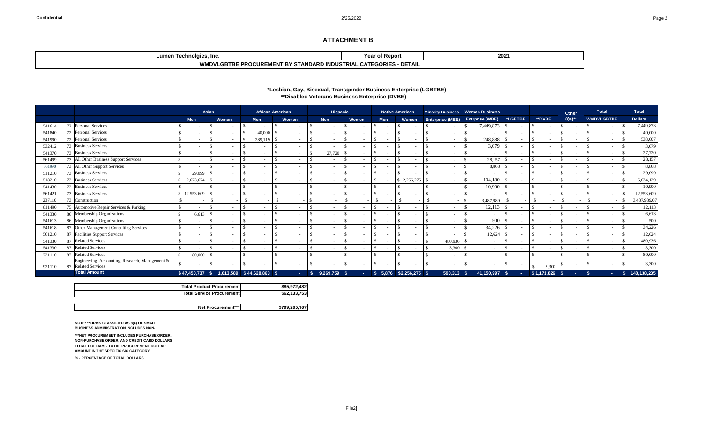### **\*Lesbian, Gay, Bisexual, Transgender Business Enterprise (LGBTBE) \*\*Disabled Veterans Business Enterprise (DVBE) Minority Business Women Business**

## **ATTACHMENT B**

| ∟umen ⊺<br>molgies.<br>י י<br>. Inc.<br>---                                                           | <sub>ີ</sub> า† Reporւ<br>Year                              | 202' |
|-------------------------------------------------------------------------------------------------------|-------------------------------------------------------------|------|
| $\blacksquare$<br>. DV<br>) INDUSTRIAI<br><b>PROCUREMENT BY</b><br>,,,IVIIUV'<br>. GB.<br>ANDARD<br>. | <b>DETAIL</b><br>$\sim$ $\sim$ nir $\sim$<br><b>EGURIES</b> |      |

|        |                                                                        | <b>Asian</b> |                          |                                  | <b>African American</b>  |                          |      | <b>Hispanic</b> |                          |            | <b>Native American</b>   | Minority Business   Woman Business |                                         |            |         |  | <b>Other</b>  |  | <b>Total</b> |                   | <b>Total</b> |                |
|--------|------------------------------------------------------------------------|--------------|--------------------------|----------------------------------|--------------------------|--------------------------|------|-----------------|--------------------------|------------|--------------------------|------------------------------------|-----------------------------------------|------------|---------|--|---------------|--|--------------|-------------------|--------------|----------------|
|        |                                                                        | <b>Men</b>   |                          | <b>Women</b>                     | <b>Men</b>               | Women                    |      | <b>Men</b>      | <b>Women</b>             | <b>Men</b> | <b>Women</b>             |                                    | <b>Enterprise (MBE)</b> Entrprise (WBE) |            | *LGBTBE |  | <b>**DVBE</b> |  | $8(a)**$     | <b>WMDVLGBTBE</b> |              | <b>Dollars</b> |
| 54161  | 72 Personal Services                                                   |              |                          |                                  |                          |                          |      |                 |                          |            |                          |                                    |                                         | 7,449,873  |         |  |               |  |              |                   |              | 7,449,873      |
| 541840 | 72 Personal Services                                                   |              |                          |                                  | 40,000                   |                          |      |                 |                          |            |                          |                                    |                                         |            |         |  |               |  |              |                   |              | 40,000         |
| 541990 | <b>Personal Services</b><br>72                                         |              |                          |                                  | 289,119                  |                          |      | $\sim$          |                          |            |                          |                                    | $\sim$                                  | 248,888    |         |  |               |  |              |                   |              | 538,007        |
| 532412 | <b>Business Services</b><br>73                                         |              |                          |                                  | $\overline{\phantom{0}}$ | $\sim$                   |      | $\sim$          | $\overline{\phantom{a}}$ |            | $\overline{\phantom{0}}$ |                                    | $\sim$                                  | 3,079      | $\sim$  |  |               |  |              |                   |              | 3,079          |
| 541370 | 73 Business Services                                                   |              | $\overline{\phantom{a}}$ | $\sim$                           | $\overline{\phantom{0}}$ | $\sim$                   |      | 27,720          | $\sim$                   |            | $\sim$                   |                                    | $\sim$                                  | $\sim$     | $\sim$  |  |               |  |              | $\sim$            |              | 27,720         |
| 561499 | <b>All Other Business Support Services</b><br>73                       |              |                          | $\overline{\phantom{a}}$         | $\overline{\phantom{a}}$ |                          |      | $\sim$          | $\sim$                   |            |                          |                                    | $\sim$                                  | 28,157     | $\sim$  |  |               |  |              |                   |              | 28,157         |
| 561990 | 73 All Other Support Services                                          |              |                          | $\overline{\phantom{a}}$         | $\overline{\phantom{a}}$ |                          |      | $\sim$          | $\overline{\phantom{a}}$ |            |                          |                                    | $\sim$                                  | 8,868      |         |  |               |  |              |                   |              | 8,868          |
| 511210 | 73 Business Services                                                   |              | 29,099                   |                                  |                          |                          |      | $\sim$          |                          |            |                          |                                    | $\sim$                                  |            |         |  |               |  |              |                   |              | 29,099         |
| 518210 | 73 Business Services                                                   | 2,673,674    |                          | $\overline{\phantom{a}}$         | $\sim$                   |                          |      | $\sim$          |                          |            | \$2,256,275              |                                    | $\sim$                                  | 104,180    | $\sim$  |  |               |  |              |                   |              | 5,034,129      |
| 541430 | <b>Business Services</b><br>73                                         |              |                          |                                  |                          |                          |      | $\sim$ 10 $\,$  |                          |            |                          |                                    | $\sim$                                  | 10,900     |         |  |               |  |              |                   |              | 10,900         |
| 561421 | <b>Business Services</b><br>73                                         | \$12,553,609 |                          | $\sim$                           | $\overline{\phantom{0}}$ |                          |      | $\sim$          | $\overline{\phantom{a}}$ |            | ۰.                       |                                    | $\sim$                                  |            | $\sim$  |  |               |  |              | $\sim$            |              | 12,553,609     |
| 237110 | 73 Construction                                                        |              |                          |                                  |                          |                          |      | $\sim$          |                          |            |                          |                                    |                                         | 3,487,989  |         |  |               |  |              |                   |              | 3,487,989.07   |
| 811490 | 75 Automotive Repair Services & Parking                                |              |                          | $\sim$                           | $\sim$                   | $\overline{\phantom{a}}$ |      | $\sim$          | $\sim$                   |            |                          |                                    |                                         | 12,113     |         |  |               |  |              |                   |              | 12,113         |
| 541330 | 86 Membership Organizations                                            |              | 6,613                    | $\sim$                           | $\overline{\phantom{a}}$ |                          |      | $\sim$          |                          |            |                          |                                    | $\sim$                                  |            | $\sim$  |  |               |  |              |                   |              | 6,613          |
| 541613 | 86 Membership Organizations                                            |              |                          | $\sim$                           | $\overline{\phantom{0}}$ | $\overline{\phantom{0}}$ |      | $\sim$          | $\overline{\phantom{a}}$ |            |                          |                                    | $\sim$                                  | 500        |         |  |               |  |              |                   |              | 500            |
| 541618 | 87 Other Management Consulting Services                                |              |                          |                                  |                          |                          |      | $\sim$ 10 $\,$  |                          |            |                          |                                    |                                         | 34,226     |         |  |               |  |              |                   |              | 34,226         |
| 561210 | 87<br><b>Facilities Support Services</b>                               |              |                          |                                  |                          |                          |      | - 1             |                          |            |                          |                                    |                                         | 12,624     |         |  |               |  |              |                   |              | 12,624         |
| 541330 | <b>Related Services</b><br>87                                          |              |                          |                                  |                          |                          |      |                 |                          |            |                          |                                    | 480,936                                 |            |         |  |               |  |              |                   |              | 480,936        |
| 541330 | <b>Related Services</b><br>87                                          |              |                          |                                  | $\overline{\phantom{0}}$ |                          |      | $\sim$          |                          |            |                          |                                    | 3,300                                   |            |         |  |               |  |              |                   |              | 3,300          |
| 721110 | 87 Related Services                                                    |              | 80,000                   |                                  | $\sim$                   |                          |      | $\sim$          |                          |            |                          |                                    | $\sim$ 100 $\mu$                        |            |         |  |               |  |              |                   |              | 80,000         |
| 921110 | Engineering, Accounting, Research, Management &<br>87 Related Services |              |                          |                                  |                          |                          |      |                 |                          |            |                          |                                    |                                         |            |         |  | 3,300         |  |              |                   |              | 3,300          |
|        | <b>Total Amount</b>                                                    | \$47,450,737 |                          | 1,613,589 \$44,628,863 \$<br>- 5 |                          | m.                       | - \$ | $9,269,759$ \$  |                          |            | $$5,876$ $$2,256,275$ \$ |                                    | 590,313 \$                              | 41,150,997 | ∣\$     |  | \$1,171,826   |  |              |                   |              | 148,138,235    |

**NOTE: \*\*FIRMS CLASSIFIED AS 8(a) OF SMALL BUSINESS ADMINISTRATION INCLUDES NON-**

**\*\*\*NET PROCUREMENT INCLUDES PURCHASE ORDER, NON-PURCHASE ORDER, AND CREDIT CARD DOLLARS TOTAL DOLLARS - TOTAL PROCUREMENT DOLLAR AMOUNT IN THE SPECIFIC SIC CATEGORY** 

**% - PERCENTAGE OF TOTAL DOLLARS**

| <b>Total Product Procurementl</b> | \$85,972,482  |
|-----------------------------------|---------------|
| <b>Total Service Procurementl</b> | \$62,133,753  |
|                                   |               |
| Net Procurement***                | \$709,265,167 |